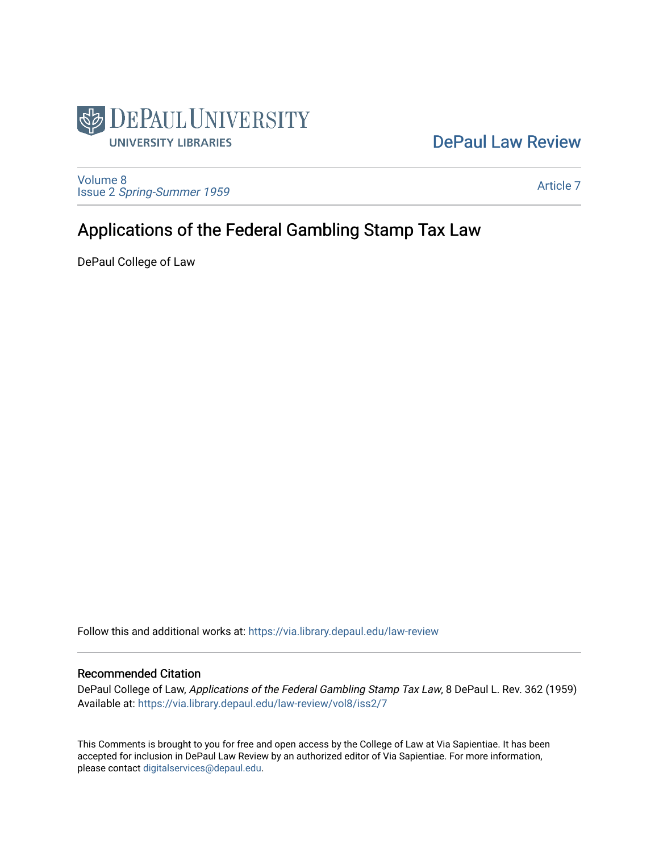

## [DePaul Law Review](https://via.library.depaul.edu/law-review)

[Volume 8](https://via.library.depaul.edu/law-review/vol8) Issue 2 [Spring-Summer 1959](https://via.library.depaul.edu/law-review/vol8/iss2) 

[Article 7](https://via.library.depaul.edu/law-review/vol8/iss2/7) 

# Applications of the Federal Gambling Stamp Tax Law

DePaul College of Law

Follow this and additional works at: [https://via.library.depaul.edu/law-review](https://via.library.depaul.edu/law-review?utm_source=via.library.depaul.edu%2Flaw-review%2Fvol8%2Fiss2%2F7&utm_medium=PDF&utm_campaign=PDFCoverPages) 

## Recommended Citation

DePaul College of Law, Applications of the Federal Gambling Stamp Tax Law, 8 DePaul L. Rev. 362 (1959) Available at: [https://via.library.depaul.edu/law-review/vol8/iss2/7](https://via.library.depaul.edu/law-review/vol8/iss2/7?utm_source=via.library.depaul.edu%2Flaw-review%2Fvol8%2Fiss2%2F7&utm_medium=PDF&utm_campaign=PDFCoverPages) 

This Comments is brought to you for free and open access by the College of Law at Via Sapientiae. It has been accepted for inclusion in DePaul Law Review by an authorized editor of Via Sapientiae. For more information, please contact [digitalservices@depaul.edu.](mailto:digitalservices@depaul.edu)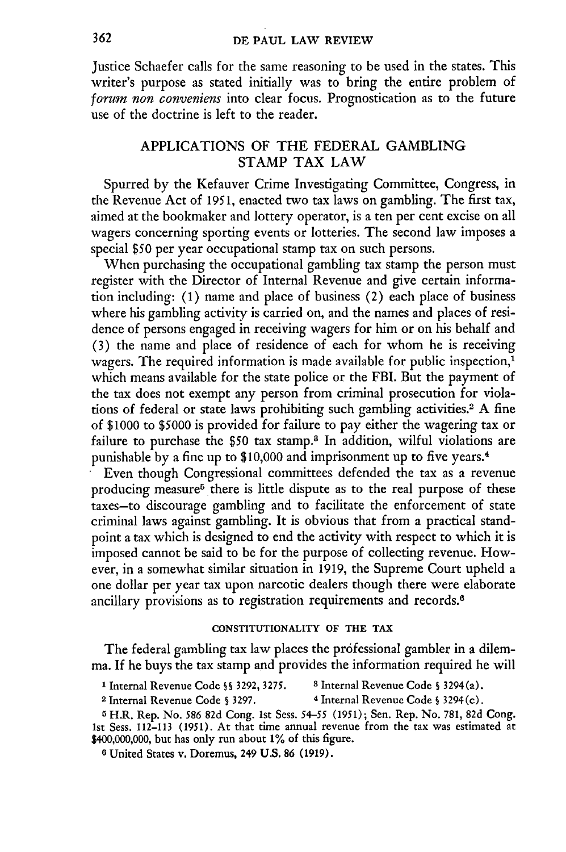Justice Schaefer calls for the same reasoning to be used in the states. This writer's purpose as stated initially was to bring the entire problem of *forum non conveniens* into clear focus. Prognostication as to the future use of the doctrine is left to the reader.

## APPLICATIONS OF THE FEDERAL GAMBLING STAMP TAX LAW

Spurred by the Kefauver Crime Investigating Committee, Congress, in the Revenue Act of 1951, enacted two tax laws on gambling. The first tax, aimed at the bookmaker and lottery operator, is a ten per cent excise on all wagers concerning sporting events or lotteries. The second law imposes a special \$50 per year occupational stamp tax on such persons.

When purchasing the occupational gambling tax stamp the person must register with the Director of Internal Revenue and give certain information including: (1) name and place of business (2) each place of business where his gambling activity is carried on, and the names and places of residence of persons engaged in receiving wagers for him or on his behalf and (3) the name and place of residence of each for whom he is receiving wagers. The required information is made available for public inspection,<sup>1</sup> which means available for the state police or the FBI. But the payment of the tax does not exempt any person from criminal prosecution for violations of federal or state laws prohibiting such gambling activities.<sup>2</sup>**A** fine of **\$1000** to **\$5000** is provided for failure to pay either the wagering tax or failure to purchase the **\$50** tax stamp.8 In addition, wilful violations are punishable **by** a fine up to **\$10,000** and imprisonment up to five years.<sup>4</sup>

Even though Congressional committees defended the tax as a revenue producing measure<sup>5</sup> there is little dispute as to the real purpose of these taxes-to discourage gambling and to facilitate the enforcement of state criminal laws against gambling. It is obvious that from a practical standpoint a tax which is designed to end the activity with respect to which it is imposed cannot be said to be for the purpose of collecting revenue. However, in a somewhat similar situation in **1919,** the Supreme Court upheld a one dollar per year tax upon narcotic dealers though there were elaborate ancillary provisions as to registration requirements and records.<sup>6</sup>

### **CONSTITUTIONALITY OF** THE TAX

The federal gambling tax law places the professional gambler in a dilemma. If he buys the tax stamp and provides the information required he will

**1** Internal Revenue Code **S S** 3292, 3275. **8** Internal Revenue Code **S** 3294 (a).

2 Internal Revenue Code **§** 3297. **4** Internal Revenue Code **§** 3294(c).

5H.R. Rep. No. *586* 82d Cong. 1st Sess. *54-55* (1951); Sen. Rep. No. 781, 82d Cong. 1st Sess. 112-113 (1951). At that time annual revenue from the tax was estimated at \$400,000,000, but has only run about **1%** of this figure.

**0** United States v. Doremus, 249 U.S. **86** (1919).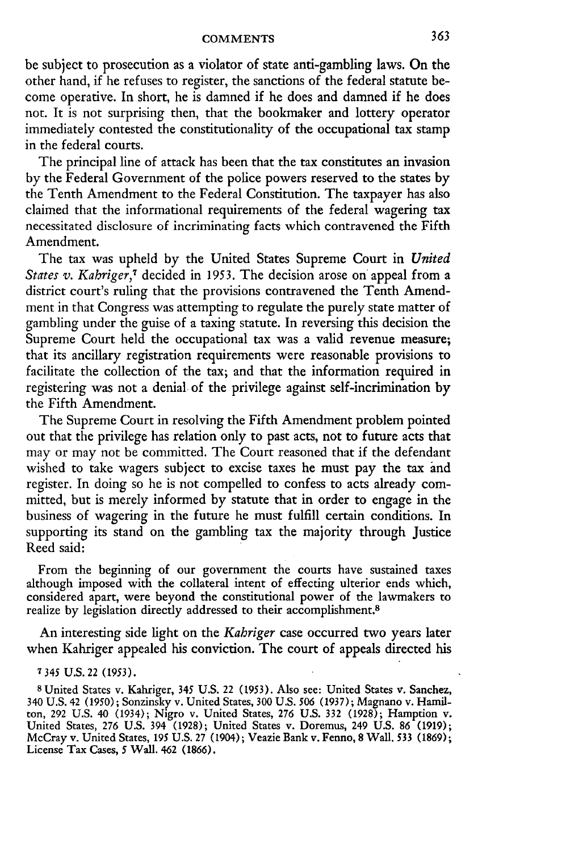be subject to prosecution as a violator of state anti-gambling laws. On the other hand, if he refuses to register, the sanctions of the federal statute become operative. In short, he is damned if he does and damned if he does not. It is not surprising then, that the bookmaker and lottery operator immediately contested the constitutionality of the occupational tax stamp in the federal courts.

The principal line of attack has been that the tax constitutes an invasion by the Federal Government of the police powers reserved to the states by the Tenth Amendment to the Federal Constitution. The taxpayer has also claimed that the informational requirements of the federal wagering tax necessitated disclosure of incriminating facts which contravened the Fifth Amendment.

The tax was upheld by the United States Supreme Court in *United States v. Kahriger,7* decided in 1953. The decision arose on appeal from a district court's ruling that the provisions contravened the Tenth Amendment in that Congress was attempting to regulate the purely state matter of gambling under the guise of a taxing statute. In reversing this decision the Supreme Court held the occupational tax was a valid revenue measure; that its ancillary registration requirements were reasonable provisions to facilitate the collection of the tax; and that the information required in registering was not a denial. of the privilege against self-incrimination by the Fifth Amendment.

The Supreme Court in resolving the Fifth Amendment problem pointed out that the privilege has relation only to past acts, not to future acts that may or may not be committed. The Court reasoned that if the defendant wished to take wagers subject to excise taxes he must pay the tax and register. In doing so he is not compelled to confess to acts already committed, but is merely informed by statute that in order to engage in the business of wagering in the future he must fulfill certain conditions. In supporting its stand on the gambling tax the majority through Justice Reed said:

From the beginning of our government the courts have sustained taxes although imposed with the collateral intent of effecting ulterior ends which, considered apart, were beyond the constitutional power of the lawmakers to realize by legislation directly addressed to their accomplishment.<sup>8</sup>

An interesting side light on the *Kahriger* case occurred two years later when Kahriger appealed his conviction. The court of appeals directed his

#### **7** *345* U.S. 22 (1953).

8 United States v. Kahriger, 345 U.S. 22 (1953). Also see: United States v. Sanchez, 340 U.S. 42 (1950); Sonzinsky v. United States, 300 U.S. *506* (1937); Magnano v. Hamilton, 292 U.S. 40 (1934); Nigro v. United States, 276 U.S. 332 (1928); Hamption v. United States, 276 U.S. 394 (1928); United States v. Doremus, 249 U.S. 86 (1919); McCray v. United States, 195 U.S. 27 (1904); Veazie Bank v. Fenno, 8 Wall. **533** (1869); License Tax Cases, *5* Wall. 462 (1866).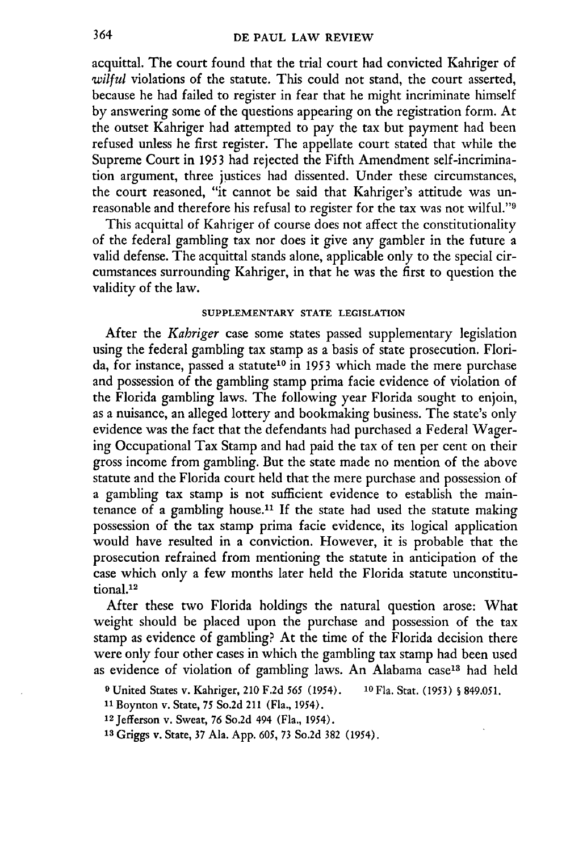acquittal. The court found that the trial court had convicted Kahriger of wilful violations of the statute. This could not stand, the court asserted, because he had failed to register in fear that he might incriminate himself by answering some of the questions appearing on the registration form. At the outset Kahriger had attempted to pay the tax but payment had been refused unless he first register. The appellate court stated that while the Supreme Court in 1953 had rejected the Fifth Amendment self-incrimination argument, three justices had dissented. Under these circumstances, the court reasoned, "it cannot be said that Kahriger's attitude was unreasonable and therefore his refusal to register for the tax was not wilful."

This acquittal of Kahriger of course does not affect the constitutionality of the federal gambling tax nor does it give any gambler in the future a valid defense. The acquittal stands alone, applicable only to the special circumstances surrounding Kahriger, in that he was the first to question the validity of the law.

#### **SUPPLEMENTARY STATE LEGISLATION**

After the *Kahriger* case some states passed supplementary legislation using the federal gambling tax stamp as a basis of state prosecution. Florida, for instance, passed a statute<sup>10</sup> in 1953 which made the mere purchase and possession of the gambling stamp prima facie evidence of violation of the Florida gambling laws. The following year Florida sought to enjoin, as a nuisance, an alleged lottery and bookmaking business. The state's only evidence was the fact that the defendants had purchased a Federal Wagering Occupational Tax Stamp and had paid the tax of ten per cent on their gross income from gambling. But the state made no mention of the above statute and the Florida court held that the mere purchase and possession of a gambling tax stamp is not sufficient evidence to establish the maintenance of a gambling house.<sup>11</sup> If the state had used the statute making possession of the tax stamp prima facie evidence, its logical application would have resulted in a conviction. However, it is probable that the prosecution refrained from mentioning the statute in anticipation of the case which only a few months later held the Florida statute unconstitutional.<sup>12</sup>

After these two Florida holdings the natural question arose: What weight should be placed upon the purchase and possession of the tax stamp as evidence of gambling? At the time of the Florida decision there were only four other cases in which the gambling tax stamp had been used as evidence of violation of gambling laws. An Alabama case<sup>13</sup> had held

**9** United States v. Kahriger, 210 F.2d *565* **(1954).** 1 <sup>0</sup> Fla. Stat. **(1953) § 849.051.**

**<sup>11</sup>**Boynton v. State, 75 So.2d 211 (Fla., 1954).

12Jefferson v. Sweat, 76 So.2d 494 (Fla., 1954).

**13** Griggs v. State, 37 Ala. App. **605,** 73 So.2d 382 (1954).

364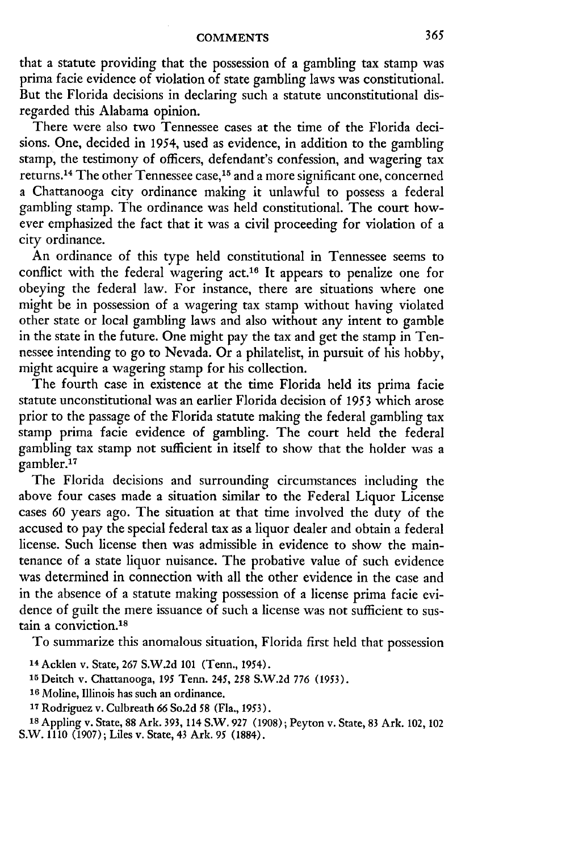that a statute providing that the possession of a gambling tax stamp was prima facie evidence of violation of state gambling laws was constitutional. But the Florida decisions in declaring such a statute unconstitutional disregarded this Alabama opinion.

There were also two Tennessee cases at the time of the Florida decisions. One, decided in 1954, used as evidence, in addition to the gambling stamp, the testimony of officers, defendant's confession, and wagering tax returns. 14 The other Tennessee case, 15 and a more significant one, concerned a Chattanooga city ordinance making it unlawful to possess a federal gambling stamp. The ordinance was held constitutional. The court however emphasized the fact that it was a civil proceeding for violation of a city ordinance.

An ordinance of this type held constitutional in Tennessee seems to conflict with the federal wagering act.<sup>16</sup> It appears to penalize one for obeying the federal law. For instance, there are situations where one might be in possession of a wagering tax stamp without having violated other state or local gambling laws and also without any intent to gamble in the state in the future. One might pay the tax and get the stamp in Tennessee intending to go to Nevada. Or a philatelist, in pursuit of his hobby, might acquire a wagering stamp for his collection.

The fourth case in existence at the time Florida held its prima facie statute unconstitutional was an earlier Florida decision of 1953 which arose prior to the passage of the Florida statute making the federal gambling tax stamp prima facie evidence of gambling. The court held the federal gambling tax stamp not sufficient in itself to show that the holder was a gambler.<sup>17</sup>

The Florida decisions and surrounding circumstances including the above four cases made a situation similar to the Federal Liquor License cases 60 years ago. The situation at that time involved the duty of the accused to pay the special federal tax as a liquor dealer and obtain a federal license. Such license then was admissible in evidence to show the maintenance of a state liquor nuisance. The probative value of such evidence was determined in connection with all the other evidence in the case and in the absence of a statute making possession of a license prima facie evidence of guilt the mere issuance of such a license was not sufficient to sustain a conviction.<sup>18</sup>

To summarize this anomalous situation, Florida first held that possession

- **<sup>14</sup>**Acklen v. State, **267 S.W.2d 101** (Tenn., 1954).
- **<sup>15</sup>**Deitch v. Chattanooga, **195** Tenn. 245, **258 S.W.2d 776 (1953).**
- **16** Moline, Illinois has such an ordinance.
- **<sup>17</sup>**Rodriguez v. Culbreath **66** So.2d **58** (Fla., **1953).**

**<sup>18</sup>**Appling v. State, **88** Ark. **393,** 114 S.W. **927 (1908);** Peyton v. State, **83** Ark. 102, 102 **S.W. 1110 (1907);** Liles v. State, 43 Ark. **95 (1884).**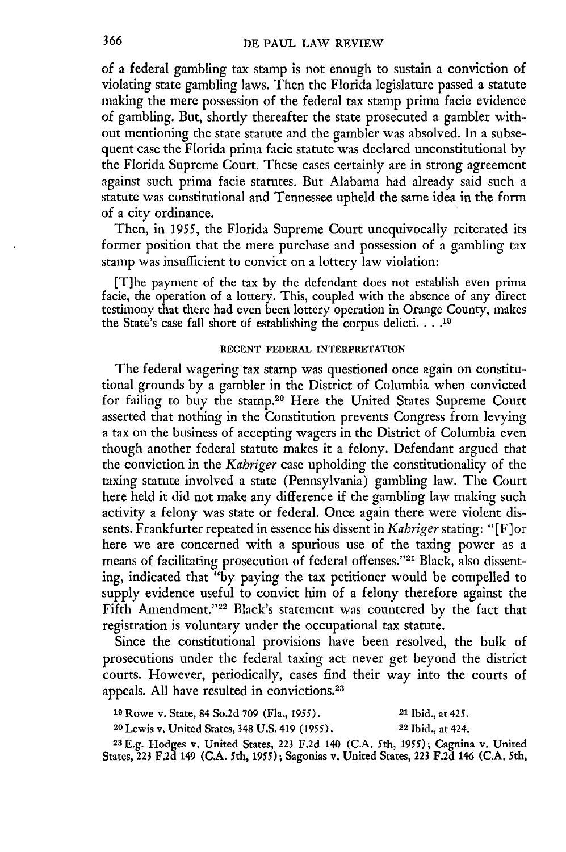of a federal gambling tax stamp is not enough to sustain a conviction of violating state gambling laws. Then the Florida legislature passed a statute making the mere possession of the federal tax stamp prima facie evidence of gambling. But, shortly thereafter the state prosecuted a gambler without mentioning the state statute and the gambler was absolved. In a subsequent case the Florida prima facie statute was declared unconstitutional by the Florida Supreme Court. These cases certainly are in strong agreement against such prima facie statutes. But Alabama had already said such a statute was constitutional and Tennessee upheld the same idea in the form of a city ordinance.

Then, in 1955, the Florida Supreme Court unequivocally reiterated its former position that the mere purchase and possession of a gambling tax stamp was insufficient to convict on a lottery law violation:

[T]he payment of the tax by the defendant does not establish even prima facie, the operation of a lottery. This, coupled with the absence of any direc testimony that there had even been lottery operation in Orange County, makes the State's case fall short of establishing the corpus delicti **.... 19**

#### **RECENT FEDERAL INTERPRETATION**

The federal wagering tax stamp was questioned once again on constitutional grounds by a gambler in the District of Columbia when convicted for failing to buy the stamp.20 Here the United States Supreme Court asserted that nothing in the Constitution prevents Congress from levying a tax on the business of accepting wagers in the District of Columbia even though another federal statute makes it a felony. Defendant argued that the conviction in the *Kabriger* case upholding the constitutionality of the taxing statute involved a state (Pennsylvania) gambling law. The Court here held it did not make any difference if the gambling law making such activity a felony was state or federal. Once again there were violent dissents. Frankfurter repeated in essence his dissent in *Kahriger* stating: "[F] or here we are concerned with a spurious use of the taxing power as a means of facilitating prosecution of federal offenses."<sup>21</sup> Black, also dissenting, indicated that "by paying the tax petitioner would be compelled to supply evidence useful to convict him of a felony therefore against the Fifth Amendment."<sup>22</sup> Black's statement was countered by the fact that registration is voluntary under the occupational tax statute.

Since the constitutional provisions have been resolved, the bulk of prosecutions under the federal taxing act never get beyond the district courts. However, periodically, cases find their way into the courts of appeals. All have resulted in convictions.<sup>23</sup>

| <sup>19</sup> Rowe v. State, 84 So.2d 709 (Fla., 1955).    | <sup>21</sup> Ibid., at 425. |
|------------------------------------------------------------|------------------------------|
| <sup>20</sup> Lewis v, United States, 348 U.S. 419 (1955). | <sup>22</sup> Ibid., at 424. |
| na T<br>.<br><b>TTI 1</b>                                  |                              |

**23 E.g.** Hodges v. United States, **223 F.2d** 140 (CA. 5th, 1955); Cagnina v. United States, **223 F.2d** 149 (CA. 5th, 1955); Sagonias v. United States, 223 **F.2d** 146 (C.A. 5th,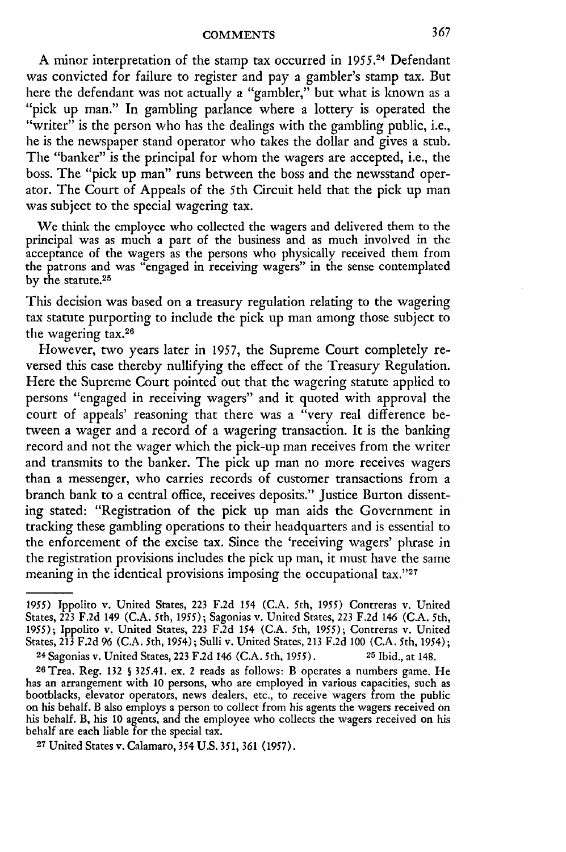**A** minor interpretation of the stamp tax occurred in 1955.24 Defendant was convicted for failure to register and pay a gambler's stamp tax. But here the defendant was not actually a "gambler," but what is known as a "pick up man." In gambling parlance where a lottery is operated the "writer" is the person who has the dealings with the gambling public, i.e., he is the newspaper stand operator who takes the dollar and gives a stub. The "banker" is the principal for whom the wagers are accepted, i.e., the boss. The "pick up man" runs between the boss and the newsstand operator. The Court of Appeals of the 5th Circuit held that the pick up man was subject to the special wagering tax.

We think the employee who collected the wagers and delivered them to the principal was as much a part of the business and as much involved in the acceptance of the wagers as the persons who physically received them from the patrons and was "engaged in receiving wagers" in the sense contemplated by the statute.<sup>25</sup>

This decision was based on a treasury regulation relating to the wagering tax statute purporting to include the pick up man among those subject to the wagering tax.<sup>26</sup>

However, two years later in 1957, the Supreme Court completely reversed this case thereby nullifying the effect of the Treasury Regulation. Here the Supreme Court pointed out that the wagering statute applied to persons "engaged in receiving wagers" and it quoted with approval the court of appeals' reasoning that there was a "very real difference between a wager and a record of a wagering transaction. It is the banking record and not the wager which the pick-up man receives from the writer and transmits to the banker. The pick up man no more receives wagers than a messenger, who carries records of customer transactions from a branch bank to a central office, receives deposits." Justice Burton dissenting stated: "Registration of the pick up man aids the Government in tracking these gambling operations to their headquarters and is essential to the enforcement of the excise tax. Since the 'receiving wagers' phrase in the registration provisions includes the pick up man, it must have the same meaning in the identical provisions imposing the occupational tax."27

**27** United States v. Calamaro, 354 U.S. **351, 361** (1957).

<sup>1955)</sup> Ippolito v. United States, **223 F.2d** *154* (C.A. 5th, **1955)** Contreras v. United States, **223** F.2d 149 (C.A. 5th, 1955); Sagonias v. United States, **223** F.2d 146 (C.A. 5th, 1955); Ippolito v. United States, 223 F.2d 154 (C.A. 5th, 1955); Contreras v. United States, **213** F.2d 96 (C.A. 5th, 1954); Sulli v. United States, **213** F.2d **100** (C.A. 5th, 1954); 24 Sagonias v. United States, 223 F.2d 146 (C.A. 5th, 1955). **25** Ibid., at 148.

<sup>26</sup>Trea. Reg. **132 S** 325.41. ex. 2 reads as follows: B operates a numbers game. He has an arrangement with **10** persons, who are employed in various capacities, such as bootblacks, elevator operators, news dealers, etc., to receive wagers from the public on his behalf. B also employs a person to collect from his agents the wagers received on his behalf. B, his **10** agents, and the employee who collects the wagers received on his behalf are each liable for the special tax.